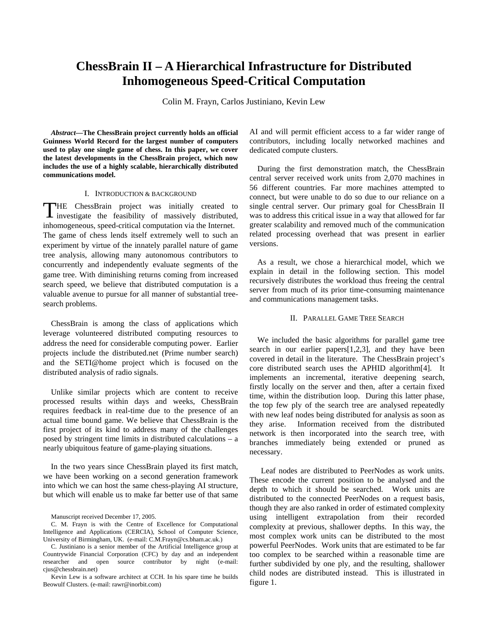# **ChessBrain II – A Hierarchical Infrastructure for Distributed Inhomogeneous Speed-Critical Computation**

Colin M. Frayn, Carlos Justiniano, Kevin Lew

*Abstract***—The ChessBrain project currently holds an official Guinness World Record for the largest number of computers used to play one single game of chess. In this paper, we cover the latest developments in the ChessBrain project, which now includes the use of a highly scalable, hierarchically distributed communications model.** 

#### I. INTRODUCTION & BACKGROUND

HE ChessBrain project was initially created to THE ChessBrain project was initially created to investigate the feasibility of massively distributed, inhomogeneous, speed-critical computation via the Internet. The game of chess lends itself extremely well to such an experiment by virtue of the innately parallel nature of game tree analysis, allowing many autonomous contributors to concurrently and independently evaluate segments of the game tree. With diminishing returns coming from increased search speed, we believe that distributed computation is a valuable avenue to pursue for all manner of substantial treesearch problems.

 ChessBrain is among the class of applications which leverage volunteered distributed computing resources to address the need for considerable computing power. Earlier projects include the distributed.net (Prime number search) and the SETI@home project which is focused on the distributed analysis of radio signals.

Unlike similar projects which are content to receive processed results within days and weeks, ChessBrain requires feedback in real-time due to the presence of an actual time bound game. We believe that ChessBrain is the first project of its kind to address many of the challenges posed by stringent time limits in distributed calculations – a nearly ubiquitous feature of game-playing situations.

In the two years since ChessBrain played its first match, we have been working on a second generation framework into which we can host the same chess-playing AI structure, but which will enable us to make far better use of that same

Manuscript received December 17, 2005.

C. M. Frayn is with the Centre of Excellence for Computational Intelligence and Applications (CERCIA), School of Computer Science, University of Birmingham, UK. (e-mail: C.M.Frayn@cs.bham.ac.uk.)

C. Justiniano is a senior member of the Artificial Intelligence group at Countrywide Financial Corporation (CFC) by day and an independent researcher and open source contributor by night (e-mail: cjus@chessbrain.net)

Kevin Lew is a software architect at CCH. In his spare time he builds Beowulf Clusters. (e-mail: rawr@inorbit.com)

AI and will permit efficient access to a far wider range of contributors, including locally networked machines and dedicated compute clusters.

During the first demonstration match, the ChessBrain central server received work units from 2,070 machines in 56 different countries. Far more machines attempted to connect, but were unable to do so due to our reliance on a single central server. Our primary goal for ChessBrain II was to address this critical issue in a way that allowed for far greater scalability and removed much of the communication related processing overhead that was present in earlier versions.

As a result, we chose a hierarchical model, which we explain in detail in the following section. This model recursively distributes the workload thus freeing the central server from much of its prior time-consuming maintenance and communications management tasks.

## II. PARALLEL GAME TREE SEARCH

We included the basic algorithms for parallel game tree search in our earlier papers[1,2,3], and they have been covered in detail in the literature. The ChessBrain project's core distributed search uses the APHID algorithm[4]. It implements an incremental, iterative deepening search, firstly locally on the server and then, after a certain fixed time, within the distribution loop. During this latter phase, the top few ply of the search tree are analysed repeatedly with new leaf nodes being distributed for analysis as soon as they arise. Information received from the distributed network is then incorporated into the search tree, with branches immediately being extended or pruned as necessary.

Leaf nodes are distributed to PeerNodes as work units. These encode the current position to be analysed and the depth to which it should be searched. Work units are distributed to the connected PeerNodes on a request basis, though they are also ranked in order of estimated complexity using intelligent extrapolation from their recorded complexity at previous, shallower depths. In this way, the most complex work units can be distributed to the most powerful PeerNodes. Work units that are estimated to be far too complex to be searched within a reasonable time are further subdivided by one ply, and the resulting, shallower child nodes are distributed instead. This is illustrated in figure 1.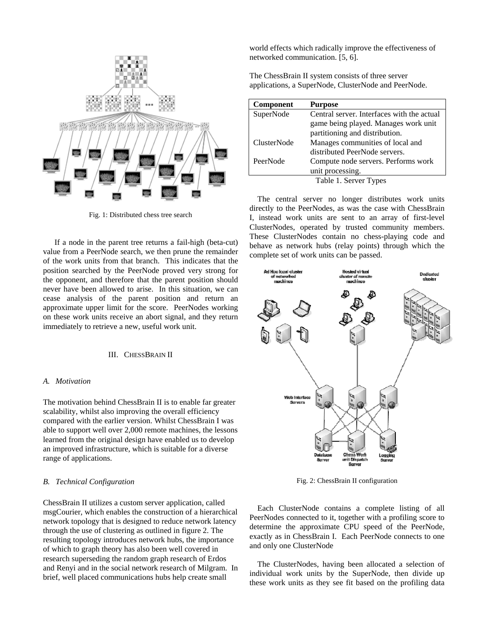

Fig. 1: Distributed chess tree search

If a node in the parent tree returns a fail-high (beta-cut) value from a PeerNode search, we then prune the remainder of the work units from that branch. This indicates that the position searched by the PeerNode proved very strong for the opponent, and therefore that the parent position should never have been allowed to arise. In this situation, we can cease analysis of the parent position and return an approximate upper limit for the score. PeerNodes working on these work units receive an abort signal, and they return immediately to retrieve a new, useful work unit.

## III. CHESSBRAIN II

### *A. Motivation*

The motivation behind ChessBrain II is to enable far greater scalability, whilst also improving the overall efficiency compared with the earlier version. Whilst ChessBrain I was able to support well over 2,000 remote machines, the lessons learned from the original design have enabled us to develop an improved infrastructure, which is suitable for a diverse range of applications.

## *B. Technical Configuration*

ChessBrain II utilizes a custom server application, called msgCourier, which enables the construction of a hierarchical network topology that is designed to reduce network latency through the use of clustering as outlined in figure 2. The resulting topology introduces network hubs, the importance of which to graph theory has also been well covered in research superseding the random graph research of Erdos and Renyi and in the social network research of Milgram. In brief, well placed communications hubs help create small

world effects which radically improve the effectiveness of networked communication. [5, 6].

The ChessBrain II system consists of three server applications, a SuperNode, ClusterNode and PeerNode.

| <b>Component</b>   | <b>Purpose</b>                             |
|--------------------|--------------------------------------------|
| SuperNode          | Central server. Interfaces with the actual |
|                    | game being played. Manages work unit       |
|                    | partitioning and distribution.             |
| <b>ClusterNode</b> | Manages communities of local and           |
|                    | distributed PeerNode servers.              |
| PeerNode           | Compute node servers. Performs work        |
|                    | unit processing.                           |
|                    | Table 1. Server Types                      |

The central server no longer distributes work units directly to the PeerNodes, as was the case with ChessBrain I, instead work units are sent to an array of first-level ClusterNodes, operated by trusted community members. These ClusterNodes contain no chess-playing code and behave as network hubs (relay points) through which the complete set of work units can be passed.



Fig. 2: ChessBrain II configuration

Each ClusterNode contains a complete listing of all PeerNodes connected to it, together with a profiling score to determine the approximate CPU speed of the PeerNode, exactly as in ChessBrain I. Each PeerNode connects to one and only one ClusterNode

The ClusterNodes, having been allocated a selection of individual work units by the SuperNode, then divide up these work units as they see fit based on the profiling data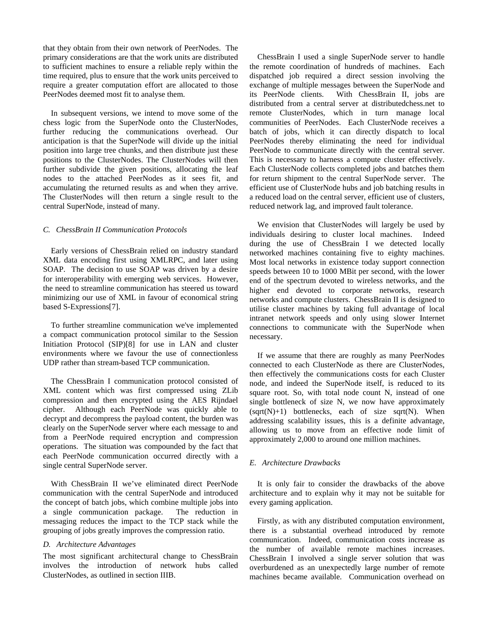that they obtain from their own network of PeerNodes. The primary considerations are that the work units are distributed to sufficient machines to ensure a reliable reply within the time required, plus to ensure that the work units perceived to require a greater computation effort are allocated to those PeerNodes deemed most fit to analyse them.

In subsequent versions, we intend to move some of the chess logic from the SuperNode onto the ClusterNodes, further reducing the communications overhead. Our anticipation is that the SuperNode will divide up the initial position into large tree chunks, and then distribute just these positions to the ClusterNodes. The ClusterNodes will then further subdivide the given positions, allocating the leaf nodes to the attached PeerNodes as it sees fit, and accumulating the returned results as and when they arrive. The ClusterNodes will then return a single result to the central SuperNode, instead of many.

## *C. ChessBrain II Communication Protocols*

Early versions of ChessBrain relied on industry standard XML data encoding first using XMLRPC, and later using SOAP. The decision to use SOAP was driven by a desire for interoperability with emerging web services. However, the need to streamline communication has steered us toward minimizing our use of XML in favour of economical string based S-Expressions[7].

To further streamline communication we've implemented a compact communication protocol similar to the Session Initiation Protocol (SIP)[8] for use in LAN and cluster environments where we favour the use of connectionless UDP rather than stream-based TCP communication.

The ChessBrain I communication protocol consisted of XML content which was first compressed using ZLib compression and then encrypted using the AES Rijndael cipher. Although each PeerNode was quickly able to decrypt and decompress the payload content, the burden was clearly on the SuperNode server where each message to and from a PeerNode required encryption and compression operations. The situation was compounded by the fact that each PeerNode communication occurred directly with a single central SuperNode server.

With ChessBrain II we've eliminated direct PeerNode communication with the central SuperNode and introduced the concept of batch jobs, which combine multiple jobs into a single communication package. The reduction in messaging reduces the impact to the TCP stack while the grouping of jobs greatly improves the compression ratio.

#### *D. Architecture Advantages*

The most significant architectural change to ChessBrain involves the introduction of network hubs called ClusterNodes, as outlined in section IIIB.

ChessBrain I used a single SuperNode server to handle the remote coordination of hundreds of machines. Each dispatched job required a direct session involving the exchange of multiple messages between the SuperNode and<br>its PeerNode clients. With ChessBrain II, jobs are With ChessBrain II, jobs are distributed from a central server at distributedchess.net to remote ClusterNodes, which in turn manage local communities of PeerNodes. Each ClusterNode receives a batch of jobs, which it can directly dispatch to local PeerNodes thereby eliminating the need for individual PeerNode to communicate directly with the central server. This is necessary to harness a compute cluster effectively. Each ClusterNode collects completed jobs and batches them for return shipment to the central SuperNode server. The efficient use of ClusterNode hubs and job batching results in a reduced load on the central server, efficient use of clusters, reduced network lag, and improved fault tolerance.

We envision that ClusterNodes will largely be used by individuals desiring to cluster local machines. Indeed during the use of ChessBrain I we detected locally networked machines containing five to eighty machines. Most local networks in existence today support connection speeds between 10 to 1000 MBit per second, with the lower end of the spectrum devoted to wireless networks, and the higher end devoted to corporate networks, research networks and compute clusters. ChessBrain II is designed to utilise cluster machines by taking full advantage of local intranet network speeds and only using slower Internet connections to communicate with the SuperNode when necessary.

If we assume that there are roughly as many PeerNodes connected to each ClusterNode as there are ClusterNodes, then effectively the communications costs for each Cluster node, and indeed the SuperNode itself, is reduced to its square root. So, with total node count N, instead of one single bottleneck of size N, we now have approximately  $(sqrt(N)+1)$  bottlenecks, each of size sqrt $(N)$ . When addressing scalability issues, this is a definite advantage, allowing us to move from an effective node limit of approximately 2,000 to around one million machines.

## *E. Architecture Drawbacks*

It is only fair to consider the drawbacks of the above architecture and to explain why it may not be suitable for every gaming application.

Firstly, as with any distributed computation environment, there is a substantial overhead introduced by remote communication. Indeed, communication costs increase as the number of available remote machines increases. ChessBrain I involved a single server solution that was overburdened as an unexpectedly large number of remote machines became available. Communication overhead on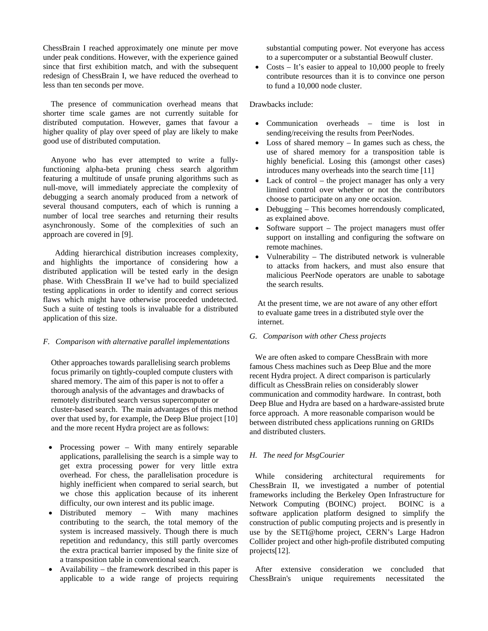ChessBrain I reached approximately one minute per move under peak conditions. However, with the experience gained since that first exhibition match, and with the subsequent redesign of ChessBrain I, we have reduced the overhead to less than ten seconds per move.

The presence of communication overhead means that shorter time scale games are not currently suitable for distributed computation. However, games that favour a higher quality of play over speed of play are likely to make good use of distributed computation.

Anyone who has ever attempted to write a fullyfunctioning alpha-beta pruning chess search algorithm featuring a multitude of unsafe pruning algorithms such as null-move, will immediately appreciate the complexity of debugging a search anomaly produced from a network of several thousand computers, each of which is running a number of local tree searches and returning their results asynchronously. Some of the complexities of such an approach are covered in [9].

 Adding hierarchical distribution increases complexity, and highlights the importance of considering how a distributed application will be tested early in the design phase. With ChessBrain II we've had to build specialized testing applications in order to identify and correct serious flaws which might have otherwise proceeded undetected. Such a suite of testing tools is invaluable for a distributed application of this size.

## *F. Comparison with alternative parallel implementations*

Other approaches towards parallelising search problems focus primarily on tightly-coupled compute clusters with shared memory. The aim of this paper is not to offer a thorough analysis of the advantages and drawbacks of remotely distributed search versus supercomputer or cluster-based search. The main advantages of this method over that used by, for example, the Deep Blue project [10] and the more recent Hydra project are as follows:

- Processing power With many entirely separable applications, parallelising the search is a simple way to get extra processing power for very little extra overhead. For chess, the parallelisation procedure is highly inefficient when compared to serial search, but we chose this application because of its inherent difficulty, our own interest and its public image.
- Distributed memory With many machines contributing to the search, the total memory of the system is increased massively. Though there is much repetition and redundancy, this still partly overcomes the extra practical barrier imposed by the finite size of a transposition table in conventional search.
- Availability the framework described in this paper is applicable to a wide range of projects requiring

substantial computing power. Not everyone has access to a supercomputer or a substantial Beowulf cluster.

Costs  $-$  It's easier to appeal to 10,000 people to freely contribute resources than it is to convince one person to fund a 10,000 node cluster.

## Drawbacks include:

- Communication overheads time is lost in sending/receiving the results from PeerNodes.
- Loss of shared memory In games such as chess, the use of shared memory for a transposition table is highly beneficial. Losing this (amongst other cases) introduces many overheads into the search time [11]
- Lack of control the project manager has only a very limited control over whether or not the contributors choose to participate on any one occasion.
- Debugging This becomes horrendously complicated, as explained above.
- Software support  $-$  The project managers must offer support on installing and configuring the software on remote machines.
- Vulnerability The distributed network is vulnerable to attacks from hackers, and must also ensure that malicious PeerNode operators are unable to sabotage the search results.

At the present time, we are not aware of any other effort to evaluate game trees in a distributed style over the internet.

## *G. Comparison with other Chess projects*

We are often asked to compare ChessBrain with more famous Chess machines such as Deep Blue and the more recent Hydra project. A direct comparison is particularly difficult as ChessBrain relies on considerably slower communication and commodity hardware. In contrast, both Deep Blue and Hydra are based on a hardware-assisted brute force approach. A more reasonable comparison would be between distributed chess applications running on GRIDs and distributed clusters.

## *H. The need for MsgCourier*

While considering architectural requirements for ChessBrain II, we investigated a number of potential frameworks including the Berkeley Open Infrastructure for Network Computing (BOINC) project. BOINC is a software application platform designed to simplify the construction of public computing projects and is presently in use by the SETI@home project, CERN's Large Hadron Collider project and other high-profile distributed computing projects[12].

After extensive consideration we concluded that ChessBrain's unique requirements necessitated the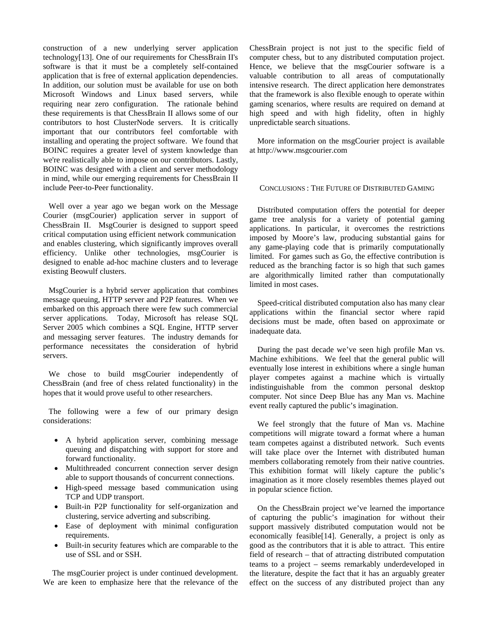construction of a new underlying server application technology[13]. One of our requirements for ChessBrain II's software is that it must be a completely self-contained application that is free of external application dependencies. In addition, our solution must be available for use on both Microsoft Windows and Linux based servers, while requiring near zero configuration. The rationale behind these requirements is that ChessBrain II allows some of our contributors to host ClusterNode servers. It is critically important that our contributors feel comfortable with installing and operating the project software. We found that BOINC requires a greater level of system knowledge than we're realistically able to impose on our contributors. Lastly, BOINC was designed with a client and server methodology in mind, while our emerging requirements for ChessBrain II include Peer-to-Peer functionality.

Well over a year ago we began work on the Message Courier (msgCourier) application server in support of ChessBrain II. MsgCourier is designed to support speed critical computation using efficient network communication and enables clustering, which significantly improves overall efficiency. Unlike other technologies, msgCourier is designed to enable ad-hoc machine clusters and to leverage existing Beowulf clusters.

MsgCourier is a hybrid server application that combines message queuing, HTTP server and P2P features. When we embarked on this approach there were few such commercial server applications. Today, Microsoft has release SQL Server 2005 which combines a SQL Engine, HTTP server and messaging server features. The industry demands for performance necessitates the consideration of hybrid servers.

We chose to build msgCourier independently of ChessBrain (and free of chess related functionality) in the hopes that it would prove useful to other researchers.

The following were a few of our primary design considerations:

- A hybrid application server, combining message queuing and dispatching with support for store and forward functionality.
- Multithreaded concurrent connection server design able to support thousands of concurrent connections.
- High-speed message based communication using TCP and UDP transport.
- Built-in P2P functionality for self-organization and clustering, service adverting and subscribing.
- Ease of deployment with minimal configuration requirements.
- Built-in security features which are comparable to the use of SSL and or SSH.

The msgCourier project is under continued development. We are keen to emphasize here that the relevance of the ChessBrain project is not just to the specific field of computer chess, but to any distributed computation project. Hence, we believe that the msgCourier software is a valuable contribution to all areas of computationally intensive research. The direct application here demonstrates that the framework is also flexible enough to operate within gaming scenarios, where results are required on demand at high speed and with high fidelity, often in highly unpredictable search situations.

More information on the msgCourier project is available at http://www.msgcourier.com

## CONCLUSIONS : THE FUTURE OF DISTRIBUTED GAMING

Distributed computation offers the potential for deeper game tree analysis for a variety of potential gaming applications. In particular, it overcomes the restrictions imposed by Moore's law, producing substantial gains for any game-playing code that is primarily computationally limited. For games such as Go, the effective contribution is reduced as the branching factor is so high that such games are algorithmically limited rather than computationally limited in most cases.

Speed-critical distributed computation also has many clear applications within the financial sector where rapid decisions must be made, often based on approximate or inadequate data.

During the past decade we've seen high profile Man vs. Machine exhibitions. We feel that the general public will eventually lose interest in exhibitions where a single human player competes against a machine which is virtually indistinguishable from the common personal desktop computer. Not since Deep Blue has any Man vs. Machine event really captured the public's imagination.

We feel strongly that the future of Man vs. Machine competitions will migrate toward a format where a human team competes against a distributed network. Such events will take place over the Internet with distributed human members collaborating remotely from their native countries. This exhibition format will likely capture the public's imagination as it more closely resembles themes played out in popular science fiction.

On the ChessBrain project we've learned the importance of capturing the public's imagination for without their support massively distributed computation would not be economically feasible[14]. Generally, a project is only as good as the contributors that it is able to attract. This entire field of research – that of attracting distributed computation teams to a project – seems remarkably underdeveloped in the literature, despite the fact that it has an arguably greater effect on the success of any distributed project than any